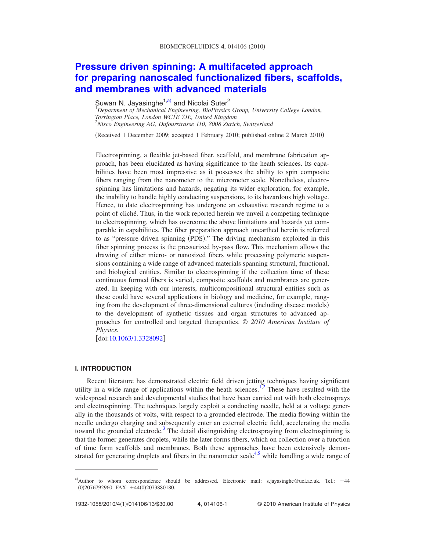# **[Pressure driven spinning: A multifaceted approach](http://dx.doi.org/10.1063/1.3328092) [for preparing nanoscaled functionalized fibers, scaffolds,](http://dx.doi.org/10.1063/1.3328092) [and membranes with advanced materials](http://dx.doi.org/10.1063/1.3328092)**

Suwan N. Jayasinghe<sup>1[,a](#page-0-0))</sup> and Nicolai Suter<sup>2</sup><br><sup>1</sup>Department of Mechanical Engineering, BioPhysics Group, University College London, *Torrington Place, London WC1E 7JE, United Kingdom* 2 *Nisco Engineering AG, Dufourstrasse 110, 8008 Zurich, Switzerland*

(Received 1 December 2009; accepted 1 February 2010; published online 2 March 2010)

Electrospinning, a flexible jet-based fiber, scaffold, and membrane fabrication approach, has been elucidated as having significance to the heath sciences. Its capabilities have been most impressive as it possesses the ability to spin composite fibers ranging from the nanometer to the micrometer scale. Nonetheless, electrospinning has limitations and hazards, negating its wider exploration, for example, the inability to handle highly conducting suspensions, to its hazardous high voltage. Hence, to date electrospinning has undergone an exhaustive research regime to a point of cliché. Thus, in the work reported herein we unveil a competing technique to electrospinning, which has overcome the above limitations and hazards yet comparable in capabilities. The fiber preparation approach unearthed herein is referred to as "pressure driven spinning (PDS)." The driving mechanism exploited in this fiber spinning process is the pressurized by-pass flow. This mechanism allows the drawing of either micro- or nanosized fibers while processing polymeric suspensions containing a wide range of advanced materials spanning structural, functional, and biological entities. Similar to electrospinning if the collection time of these continuous formed fibers is varied, composite scaffolds and membranes are generated. In keeping with our interests, multicompositional structural entities such as these could have several applications in biology and medicine, for example, ranging from the development of three-dimensional cultures (including disease models) to the development of synthetic tissues and organ structures to advanced approaches for controlled and targeted therapeutics. © *2010 American Institute of Physics.*

doi[:10.1063/1.3328092](http://dx.doi.org/10.1063/1.3328092)

## **I. INTRODUCTION**

Recent literature has demonstrated electric field driven jetting techniques having significant utility in a wide range of applications within the heath sciences.<sup>1,[2](#page-12-1)</sup> These have resulted with the widespread research and developmental studies that have been carried out with both electrosprays and electrospinning. The techniques largely exploit a conducting needle, held at a voltage generally in the thousands of volts, with respect to a grounded electrode. The media flowing within the needle undergo charging and subsequently enter an external electric field, accelerating the media toward the grounded electrode.<sup>3</sup> The detail distinguishing electrospraying from electrospinning is that the former generates droplets, while the later forms fibers, which on collection over a function of time form scaffolds and membranes. Both these approaches have been extensively demon-strated for generating droplets and fibers in the nanometer scale<sup>4,[5](#page-12-4)</sup> while handling a wide range of

<span id="page-0-0"></span>a)Author to whom correspondence should be addressed. Electronic mail: s.jayasinghe@ucl.ac.uk. Tel.: +44 (0)2076792960. FAX: +44(0)2073880180.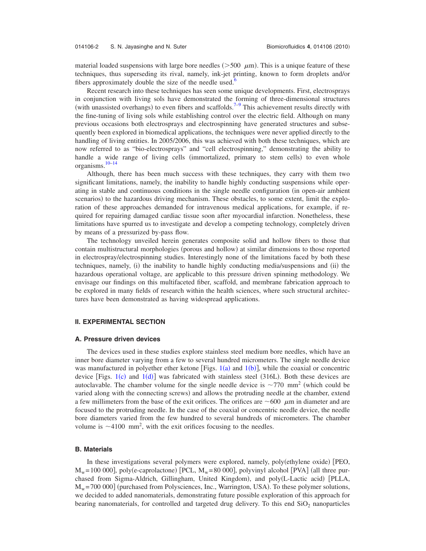material loaded suspensions with large bore needles ( $>500 \mu$ m). This is a unique feature of these techniques, thus superseding its rival, namely, ink-jet printing, known to form droplets and/or fibers approximately double the size of the needle used.<sup>6</sup>

Recent research into these techniques has seen some unique developments. First, electrosprays in conjunction with living sols have demonstrated the forming of three-dimensional structures (with unassisted overhangs) to even fibers and scaffolds.<sup>7[–9](#page-12-7)</sup> This achievement results directly with the fine-tuning of living sols while establishing control over the electric field. Although on many previous occasions both electrosprays and electrospinning have generated structures and subsequently been explored in biomedical applications, the techniques were never applied directly to the handling of living entities. In 2005/2006, this was achieved with both these techniques, which are now referred to as "bio-electrosprays" and "cell electrospinning," demonstrating the ability to handle a wide range of living cells (immortalized, primary to stem cells) to even whole organisms. $10-14$ 

Although, there has been much success with these techniques, they carry with them two significant limitations, namely, the inability to handle highly conducting suspensions while operating in stable and continuous conditions in the single needle configuration (in open-air ambient scenarios) to the hazardous driving mechanism. These obstacles, to some extent, limit the exploration of these approaches demanded for intravenous medical applications, for example, if required for repairing damaged cardiac tissue soon after myocardial infarction. Nonetheless, these limitations have spurred us to investigate and develop a competing technology, completely driven by means of a pressurized by-pass flow.

The technology unveiled herein generates composite solid and hollow fibers to those that contain multistructural morphologies (porous and hollow) at similar dimensions to those reported in electrospray/electrospinning studies. Interestingly none of the limitations faced by both these techniques, namely, (i) the inability to handle highly conducting media/suspensions and (ii) the hazardous operational voltage, are applicable to this pressure driven spinning methodology. We envisage our findings on this multifaceted fiber, scaffold, and membrane fabrication approach to be explored in many fields of research within the health sciences, where such structural architectures have been demonstrated as having widespread applications.

## **II. EXPERIMENTAL SECTION**

#### **A. Pressure driven devices**

The devices used in these studies explore stainless steel medium bore needles, which have an inner bore diameter varying from a few to several hundred micrometers. The single needle device was manufactured in polyether ether ketone [Figs.  $1(a)$  $1(a)$  and  $1(b)$ ], while the coaxial or concentric device [Figs.  $1(c)$  $1(c)$  and  $1(d)$ ] was fabricated with stainless steel (316L). Both these devices are autoclavable. The chamber volume for the single needle device is  $\sim$ 770 mm<sup>2</sup> (which could be varied along with the connecting screws) and allows the protruding needle at the chamber, extend a few millimeters from the base of the exit orifices. The orifices are  $\sim 600 \mu m$  in diameter and are focused to the protruding needle. In the case of the coaxial or concentric needle device, the needle bore diameters varied from the few hundred to several hundreds of micrometers. The chamber volume is  $\sim$  4100 mm<sup>2</sup>, with the exit orifices focusing to the needles.

#### **B. Materials**

In these investigations several polymers were explored, namely, poly(ethylene oxide) [PEO,  $M_w$  = 100 000], poly(e-caprolactone) [PCL,  $M_w$  = 80 000], polyvinyl alcohol [PVA] (all three purchased from Sigma-Aldrich, Gillingham, United Kingdom), and poly(L-Lactic acid) [PLLA,  $M_w$  = 700 000] (purchased from Polysciences, Inc., Warrington, USA). To these polymer solutions, we decided to added nanomaterials, demonstrating future possible exploration of this approach for bearing nanomaterials, for controlled and targeted drug delivery. To this end  $SiO<sub>2</sub>$  nanoparticles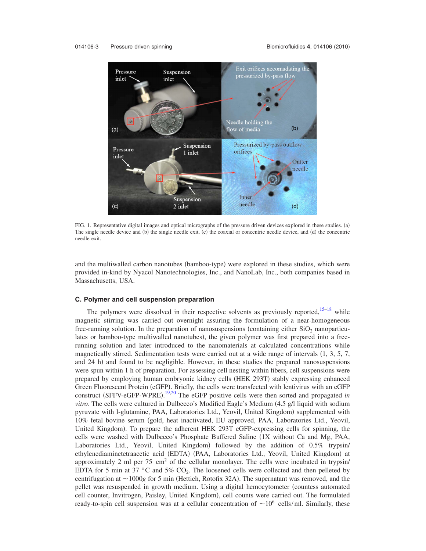#### <span id="page-2-0"></span>014106-3 Pressure driven spinning



FIG. 1. Representative digital images and optical micrographs of the pressure driven devices explored in these studies. (a) The single needle device and (b) the single needle exit, (c) the coaxial or concentric needle device, and (d) the concentric needle exit.

and the multiwalled carbon nanotubes (bamboo-type) were explored in these studies, which were provided in-kind by Nyacol Nanotechnologies, Inc., and NanoLab, Inc., both companies based in Massachusetts, USA.

#### **C. Polymer and cell suspension preparation**

The polymers were dissolved in their respective solvents as previously reported,  $15-18$  while magnetic stirring was carried out overnight assuring the formulation of a near-homogeneous free-running solution. In the preparation of nanosuspensions (containing either  $SiO<sub>2</sub>$  nanoparticulates or bamboo-type multiwalled nanotubes), the given polymer was first prepared into a freerunning solution and later introduced to the nanomaterials at calculated concentrations while magnetically stirred. Sedimentation tests were carried out at a wide range of intervals  $(1, 3, 5, 7,$ and 24 h) and found to be negligible. However, in these studies the prepared nanosuspensions were spun within 1 h of preparation. For assessing cell nesting within fibers, cell suspensions were prepared by employing human embryonic kidney cells (HEK 293T) stably expressing enhanced Green Fluorescent Protein (eGFP). Briefly, the cells were transfected with lentivirus with an eGFP construct (SFFV-eGFP-WPRE).<sup>[19](#page-12-12)[,20](#page-12-13)</sup> The eGFP positive cells were then sorted and propagated *in vitro*. The cells were cultured in Dulbecco's Modified Eagle's Medium (4.5 g/l liquid with sodium pyruvate with l-glutamine, PAA, Laboratories Ltd., Yeovil, United Kingdom) supplemented with 10% fetal bovine serum gold, heat inactivated, EU approved, PAA, Laboratories Ltd., Yeovil, United Kingdom). To prepare the adherent HEK 293T eGFP-expressing cells for spinning, the cells were washed with Dulbecco's Phosphate Buffered Saline 1X without Ca and Mg, PAA, Laboratories Ltd., Yeovil, United Kingdom) followed by the addition of 0.5% trypsin/ ethylenediaminetetraacetic acid (EDTA) (PAA, Laboratories Ltd., Yeovil, United Kingdom) at approximately 2 ml per 75 cm<sup>2</sup> of the cellular monolayer. The cells were incubated in trypsin/ EDTA for 5 min at 37 °C and 5%  $CO<sub>2</sub>$ . The loosened cells were collected and then pelleted by centrifugation at  $\sim$  1000 $g$  for 5 min (Hettich, Rotofix 32A). The supernatant was removed, and the pellet was resuspended in growth medium. Using a digital hemocytometer countess automated cell counter, Invitrogen, Paisley, United Kingdom), cell counts were carried out. The formulated ready-to-spin cell suspension was at a cellular concentration of  $\sim 10^6$  cells/ml. Similarly, these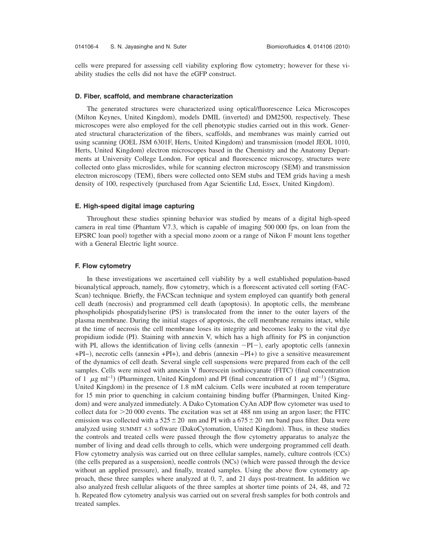cells were prepared for assessing cell viability exploring flow cytometry; however for these viability studies the cells did not have the eGFP construct.

#### **D. Fiber, scaffold, and membrane characterization**

The generated structures were characterized using optical/fluorescence Leica Microscopes (Milton Keynes, United Kingdom), models DMIL (inverted) and DM2500, respectively. These microscopes were also employed for the cell phenotypic studies carried out in this work. Generated structural characterization of the fibers, scaffolds, and membranes was mainly carried out using scanning (JOEL JSM 6301F, Herts, United Kingdom) and transmission (model JEOL 1010, Herts, United Kingdom) electron microscopes based in the Chemistry and the Anatomy Departments at University College London. For optical and fluorescence microscopy, structures were collected onto glass microslides, while for scanning electron microscopy (SEM) and transmission electron microscopy (TEM), fibers were collected onto SEM stubs and TEM grids having a mesh density of 100, respectively (purchased from Agar Scientific Ltd, Essex, United Kingdom).

### **E. High-speed digital image capturing**

Throughout these studies spinning behavior was studied by means of a digital high-speed camera in real time Phantum V7.3, which is capable of imaging 500 000 fps, on loan from the EPSRC loan pool) together with a special mono zoom or a range of Nikon F mount lens together with a General Electric light source.

## **F. Flow cytometry**

In these investigations we ascertained cell viability by a well established population-based bioanalytical approach, namely, flow cytometry, which is a florescent activated cell sorting FAC-Scan) technique. Briefly, the FACScan technique and system employed can quantify both general cell death (necrosis) and programmed cell death (apoptosis). In apoptotic cells, the membrane phospholipids phospatidylserine (PS) is translocated from the inner to the outer layers of the plasma membrane. During the initial stages of apoptosis, the cell membrane remains intact, while at the time of necrosis the cell membrane loses its integrity and becomes leaky to the vital dye propidium iodide (PI). Staining with annexin V, which has a high affinity for PS in conjunction with PI, allows the identification of living cells (annexin  $-PI-$ ), early apoptotic cells (annexin +PI–), necrotic cells (annexin +PI+), and debris (annexin –PI+) to give a sensitive measurement of the dynamics of cell death. Several single cell suspensions were prepared from each of the cell samples. Cells were mixed with annexin V fluorescein isothiocyanate (FITC) (final concentration of 1  $\mu$ g ml<sup>-1</sup>) (Pharmingen, United Kingdom) and PI (final concentration of 1  $\mu$ g ml<sup>-1</sup>) (Sigma, United Kingdom) in the presence of 1.8 mM calcium. Cells were incubated at room temperature for 15 min prior to quenching in calcium containing binding buffer (Pharmingen, United Kingdom) and were analyzed immediately. A Dako Cytomation CyAn ADP flow cytometer was used to collect data for  $>$  20 000 events. The excitation was set at 488 nm using an argon laser; the FITC emission was collected with a 525 $\pm$ 20 nm and PI with a 675 $\pm$ 20 nm band pass filter. Data were analyzed using SUMMIT 4.3 software (DakoCytomation, United Kingdom). Thus, in these studies the controls and treated cells were passed through the flow cytometry apparatus to analyze the number of living and dead cells through to cells, which were undergoing programmed cell death. Flow cytometry analysis was carried out on three cellular samples, namely, culture controls (CCs) (the cells prepared as a suspension), needle controls (NCs) (which were passed through the device without an applied pressure), and finally, treated samples. Using the above flow cytometry approach, these three samples where analyzed at 0, 7, and 21 days post-treatment. In addition we also analyzed fresh cellular aliquots of the three samples at shorter time points of 24, 48, and 72 h. Repeated flow cytometry analysis was carried out on several fresh samples for both controls and treated samples.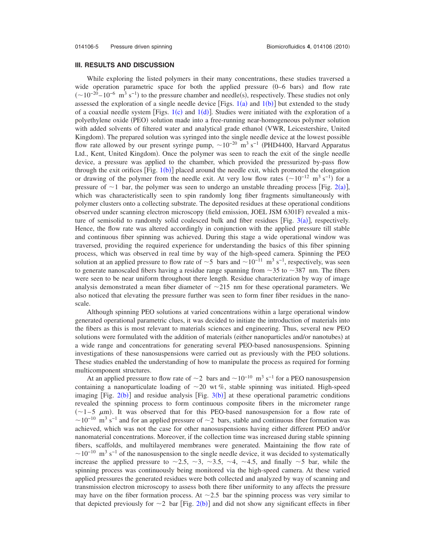## **III. RESULTS AND DISCUSSION**

While exploring the listed polymers in their many concentrations, these studies traversed a wide operation parametric space for both the applied pressure  $(0-6$  bars) and flow rate  $(\sim 10^{-20} - 10^{-6} \text{ m}^3 \text{ s}^{-1})$  to the pressure chamber and needle(s), respectively. These studies not only assessed the exploration of a single needle device [Figs.  $1(a)$  $1(a)$  and  $1(b)$ ] but extended to the study of a coaxial needle system [Figs.  $1(c)$  $1(c)$  and  $1(d)$ ]. Studies were initiated with the exploration of a polyethylene oxide (PEO) solution made into a free-running near-homogeneous polymer solution with added solvents of filtered water and analytical grade ethanol VWR, Leicestershire, United Kingdom). The prepared solution was syringed into the single needle device at the lowest possible flow rate allowed by our present syringe pump,  $\sim 10^{-20}$  m<sup>3</sup> s<sup>-1</sup> (PHD4400, Harvard Apparatus Ltd., Kent, United Kingdom). Once the polymer was seen to reach the exit of the single needle device, a pressure was applied to the chamber, which provided the pressurized by-pass flow through the exit orifices  $[Fig. 1(b)]$  $[Fig. 1(b)]$  $[Fig. 1(b)]$  placed around the needle exit, which promoted the elongation or drawing of the polymer from the needle exit. At very low flow rates  $({\sim}10^{-12} \text{ m}^3 \text{ s}^{-1})$  for a pressure of  $\sim$  1 bar, the polymer was seen to undergo an unstable threading process [Fig. [2](#page-5-0)(a)], which was characteristically seen to spin randomly long fiber fragments simultaneously with polymer clusters onto a collecting substrate. The deposited residues at these operational conditions observed under scanning electron microscopy (field emission, JOEL JSM 6301F) revealed a mixture of semisolid to randomly solid coalesced bulk and fiber residues [Fig.  $3(a)$  $3(a)$ ], respectively. Hence, the flow rate was altered accordingly in conjunction with the applied pressure till stable and continuous fiber spinning was achieved. During this stage a wide operational window was traversed, providing the required experience for understanding the basics of this fiber spinning process, which was observed in real time by way of the high-speed camera. Spinning the PEO solution at an applied pressure to flow rate of  $\sim$ 5 bars and  $\sim$ 10<sup>-11</sup> m<sup>3</sup> s<sup>-1</sup>, respectively, was seen to generate nanoscaled fibers having a residue range spanning from  $\sim$ 35 to  $\sim$ 387 nm. The fibers were seen to be near uniform throughout there length. Residue characterization by way of image analysis demonstrated a mean fiber diameter of  $\sim$ 215 nm for these operational parameters. We also noticed that elevating the pressure further was seen to form finer fiber residues in the nanoscale.

Although spinning PEO solutions at varied concentrations within a large operational window generated operational parametric clues, it was decided to initiate the introduction of materials into the fibers as this is most relevant to materials sciences and engineering. Thus, several new PEO solutions were formulated with the addition of materials (either nanoparticles and/or nanotubes) at a wide range and concentrations for generating several PEO-based nanosuspensions. Spinning investigations of these nanosuspensions were carried out as previously with the PEO solutions. These studies enabled the understanding of how to manipulate the process as required for forming multicomponent structures.

At an applied pressure to flow rate of  $\sim$ 2 bars and  $\sim$ 10<sup>-10</sup> m<sup>3</sup> s<sup>-1</sup> for a PEO nanosuspension containing a nanoparticulate loading of  $\sim$  20 wt %, stable spinning was initiated. High-speed imaging [Fig.  $2(b)$  $2(b)$ ] and residue analysis [Fig.  $3(b)$  $3(b)$ ] at these operational parametric conditions revealed the spinning process to form continuous composite fibers in the micrometer range  $(\sim 1-5$   $\mu$ m). It was observed that for this PEO-based nanosuspension for a flow rate of  $\sim$ 10<sup>-10</sup> m<sup>3</sup> s<sup>-1</sup> and for an applied pressure of  $\sim$ 2 bars, stable and continuous fiber formation was achieved, which was not the case for other nanosuspensions having either different PEO and/or nanomaterial concentrations. Moreover, if the collection time was increased during stable spinning fibers, scaffolds, and multilayered membranes were generated. Maintaining the flow rate of  $\sim$ 10<sup>-10</sup> m<sup>3</sup> s<sup>-1</sup> of the nanosuspension to the single needle device, it was decided to systematically increase the applied pressure to  $\sim$ 2.5,  $\sim$ 3,  $\sim$ 3.5,  $\sim$ 4,  $\sim$ 4.5, and finally  $\sim$ 5 bar, while the spinning process was continuously being monitored via the high-speed camera. At these varied applied pressures the generated residues were both collected and analyzed by way of scanning and transmission electron microscopy to assess both there fiber uniformity to any affects the pressure may have on the fiber formation process. At  $\sim$  2.5 bar the spinning process was very similar to that depicted previously for  $\sim$  [2](#page-5-0) bar [Fig. 2(b)] and did not show any significant effects in fiber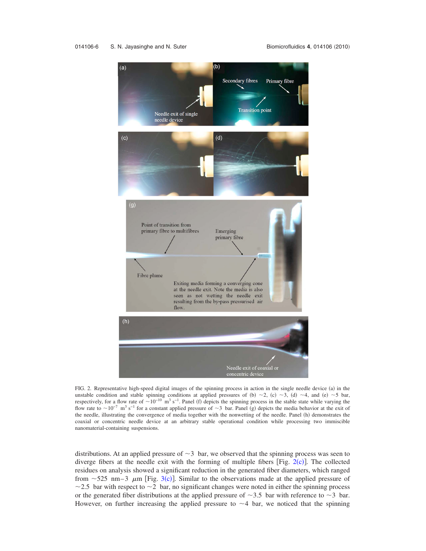#### <span id="page-5-0"></span>014106-6 S. N. Jayasinghe and N. Suter



FIG. 2. Representative high-speed digital images of the spinning process in action in the single needle device (a) in the unstable condition and stable spinning conditions at applied pressures of (b)  $\sim$ 2, (c)  $\sim$ 3, (d)  $\sim$ 4, and (e)  $\sim$ 5 bar, respectively, for a flow rate of  $\sim 10^{-10}$  m<sup>3</sup> s<sup>-1</sup>. Panel (f) depicts the spinning process in the stable state while varying the flow rate to  $\sim 10^{-7}$  m<sup>3</sup> s<sup>-1</sup> for a constant applied pressure of  $\sim$ 3 bar. Panel (g) depicts the media behavior at the exit of the needle, illustrating the convergence of media together with the nonwetting of the needle. Panel (h) demonstrates the coaxial or concentric needle device at an arbitrary stable operational condition while processing two immiscible nanomaterial-containing suspensions.

distributions. At an applied pressure of  $\sim$ 3 bar, we observed that the spinning process was seen to diverge fibers at the needle exit with the forming of multiple fibers  $[Fig. 2(c)]$  $[Fig. 2(c)]$  $[Fig. 2(c)]$ . The collected residues on analysis showed a significant reduction in the generated fiber diameters, which ranged from  $\sim$  525 nm–[3](#page-6-0)  $\mu$ m [Fig. 3(c)]. Similar to the observations made at the applied pressure of  $\sim$  2.5 bar with respect to  $\sim$  2 bar, no significant changes were noted in either the spinning process or the generated fiber distributions at the applied pressure of  $\sim$ 3.5 bar with reference to  $\sim$ 3 bar. However, on further increasing the applied pressure to  $\sim$  4 bar, we noticed that the spinning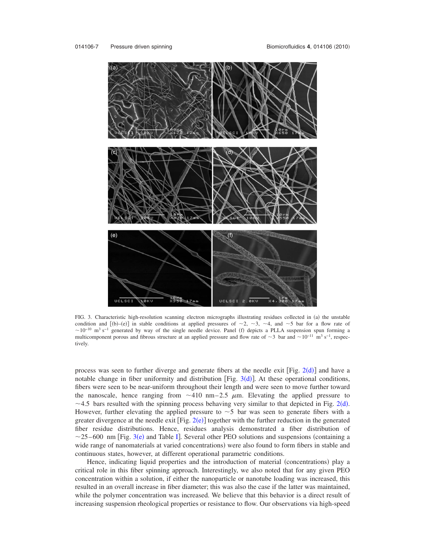<span id="page-6-0"></span>

FIG. 3. Characteristic high-resolution scanning electron micrographs illustrating residues collected in (a) the unstable condition and  $[(b)-(e)]$  in stable conditions at applied pressures of  $\sim$ 2,  $\sim$ 3,  $\sim$ 4, and  $\sim$ 5 bar for a flow rate of  $\sim$ 10<sup>-10</sup> m<sup>3</sup> s<sup>-1</sup> generated by way of the single needle device. Panel (f) depicts a PLLA suspension spun forming a multicomponent porous and fibrous structure at an applied pressure and flow rate of  $\sim$ 3 bar and  $\sim$ 10<sup>-11</sup> m<sup>3</sup> s<sup>-1</sup>, respectively.

process was seen to further diverge and generate fibers at the needle exit [Fig.  $2(d)$  $2(d)$ ] and have a notable change in fiber uniformity and distribution [Fig.  $3(d)$  $3(d)$ ]. At these operational conditions, fibers were seen to be near-uniform throughout their length and were seen to move further toward the nanoscale, hence ranging from  $\sim$ 410 nm–2.5  $\mu$ m. Elevating the applied pressure to  $\sim$  4.5 bars resulted with the spinning process behaving very similar to that depicted in Fig. [2](#page-5-0)(d). However, further elevating the applied pressure to  $\sim$  5 bar was seen to generate fibers with a greater divergence at the needle exit  $[Fig. 2(e)]$  $[Fig. 2(e)]$  $[Fig. 2(e)]$  together with the further reduction in the generated fiber residue distributions. Hence, residues analysis demonstrated a fiber distribution of  $\sim$ 25–600 nm [Fig. [3](#page-6-0)(e) and Table [I](#page-7-0)]. Several other PEO solutions and suspensions (containing a wide range of nanomaterials at varied concentrations) were also found to form fibers in stable and continuous states, however, at different operational parametric conditions.

Hence, indicating liquid properties and the introduction of material (concentrations) play a critical role in this fiber spinning approach. Interestingly, we also noted that for any given PEO concentration within a solution, if either the nanoparticle or nanotube loading was increased, this resulted in an overall increase in fiber diameter; this was also the case if the latter was maintained, while the polymer concentration was increased. We believe that this behavior is a direct result of increasing suspension rheological properties or resistance to flow. Our observations via high-speed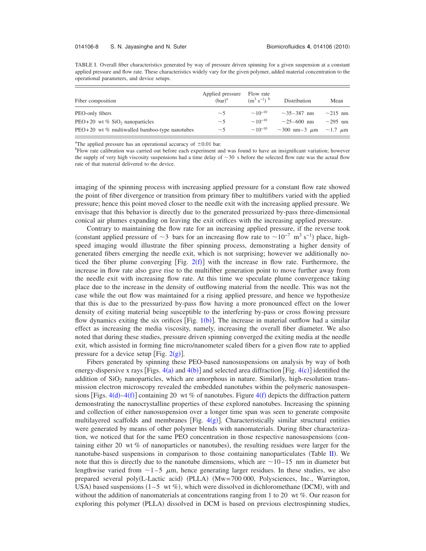<span id="page-7-0"></span>TABLE I. Overall fiber characteristics generated by way of pressure driven spinning for a given suspension at a constant applied pressure and flow rate. These characteristics widely vary for the given polymer, added material concentration to the operational parameters, and device setups.

| Fiber composition                               | Applied pressure<br>$(bar)^a$ | Flow rate<br>$(m^3 s^{-1})^b$ | Distribution              | Mean               |
|-------------------------------------------------|-------------------------------|-------------------------------|---------------------------|--------------------|
| PEO-only fibers                                 | ~1                            | $\sim 10^{-10}$               | $\sim$ 35–387 nm          | $\sim$ 215 nm      |
| $PEO+20$ wt % SiO <sub>2</sub> nanoparticles    | ~1                            | $\sim 10^{-10}$               | $\sim$ 25–600 nm          | $\sim$ 295 nm      |
| $PEO+20$ wt % multiwalled bamboo-type nanotubes | ~1                            | $\sim 10^{-10}$               | $\sim$ 300 nm - 3 $\mu$ m | $\sim$ 1.7 $\mu$ m |

<sup>a</sup>The applied pressure has an operational accuracy of  $\pm 0.01$  bar. **b**Elow rate colibration was carried out before each experiment at

Flow rate calibration was carried out before each experiment and was found to have an insignificant variation; however the supply of very high viscosity suspensions had a time delay of  $\sim$  30 s before the selected flow rate was the actual flow rate of that material delivered to the device.

imaging of the spinning process with increasing applied pressure for a constant flow rate showed the point of fiber divergence or transition from primary fiber to multifibers varied with the applied pressure; hence this point moved closer to the needle exit with the increasing applied pressure. We envisage that this behavior is directly due to the generated pressurized by-pass three-dimensional conical air plumes expanding on leaving the exit orifices with the increasing applied pressure.

Contrary to maintaining the flow rate for an increasing applied pressure, if the reverse took (constant applied pressure of  $\sim$ 3 bars for an increasing flow rate to  $\sim$ 10<sup>-7</sup> m<sup>3</sup> s<sup>-1</sup>) place, highspeed imaging would illustrate the fiber spinning process, demonstrating a higher density of generated fibers emerging the needle exit, which is not surprising; however we additionally noticed the fiber plume converging [Fig.  $2(f)$  $2(f)$ ] with the increase in flow rate. Furthermore, the increase in flow rate also gave rise to the multifiber generation point to move further away from the needle exit with increasing flow rate. At this time we speculate plume convergence taking place due to the increase in the density of outflowing material from the needle. This was not the case while the out flow was maintained for a rising applied pressure, and hence we hypothesize that this is due to the pressurized by-pass flow having a more pronounced effect on the lower density of exiting material being susceptible to the interfering by-pass or cross flowing pressure flow dynamics exiting the six orifices  $[Fig. 1(b)]$  $[Fig. 1(b)]$  $[Fig. 1(b)]$ . The increase in material outflow had a similar effect as increasing the media viscosity, namely, increasing the overall fiber diameter. We also noted that during these studies, pressure driven spinning converged the exiting media at the needle exit, which assisted in forming fine micro/nanometer scaled fibers for a given flow rate to applied pressure for a device setup [Fi[g](#page-5-0).  $2(g)$ ].

Fibers generated by spinning these PEO-based nanosuspensions on analysis by way of both energy-dispersive x rays [Figs.  $4(a)$  $4(a)$  and  $4(b)$ ] and selected area diffraction [Fig.  $4(c)$ ] identified the addition of  $SiO<sub>2</sub>$  nanoparticles, which are amorphous in nature. Similarly, high-resolution transmission electron microscopy revealed the embedded nanotubes within the polymeric nanosuspensions [Figs.  $4(d) - 4(f)$  $4(d) - 4(f)$ ] containing 20 wt % of nanotubes. Figure  $4(f)$  depicts the diffraction pattern demonstrating the nanocrystalline properties of these explored nanotubes. Increasing the spinning and collection of either nanosuspension over a longer time span was seen to generate composite multilayered scaffolds and membranes [Fig.  $4(g)$  $4(g)$ ]. Characteristically similar structural entities were generated by means of other polymer blends with nanomaterials. During fiber characterization, we noticed that for the same PEO concentration in those respective nanosuspensions containing either 20 wt  $%$  of nanoparticles or nanotubes), the resulting residues were larger for the nanotube-based suspensions in comparison to those containing nanoparticulates (Table  $\text{II}$  $\text{II}$  $\text{II}$ ). We note that this is directly due to the nanotube dimensions, which are  $\sim$ 10–15 nm in diameter but lengthwise varied from  $\sim$ 1–5  $\mu$ m, hence generating larger residues. In these studies, we also prepared several poly(L-Lactic acid) (PLLA) (Mw=700 000, Polysciences, Inc., Warrington, USA) based suspensions  $(1-5 \text{ wt } \%)$ , which were dissolved in dichloromethane (DCM), with and without the addition of nanomaterials at concentrations ranging from 1 to 20 wt %. Our reason for exploring this polymer (PLLA) dissolved in DCM is based on previous electrospinning studies,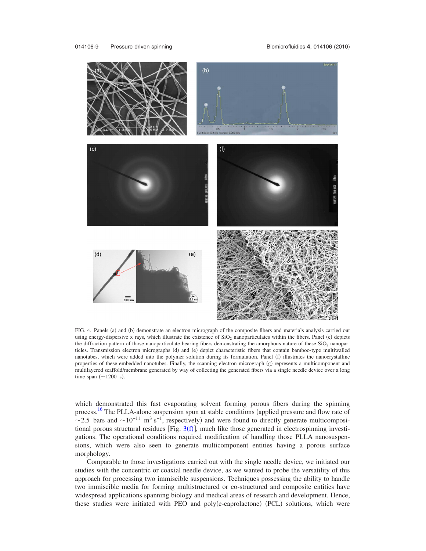<span id="page-8-0"></span>

FIG. 4. Panels (a) and (b) demonstrate an electron micrograph of the composite fibers and materials analysis carried out using energy-dispersive x rays, which illustrate the existence of  $SiO<sub>2</sub>$  nanoparticulates within the fibers. Panel (c) depicts the diffraction pattern of those nanoparticulate-bearing fibers demonstrating the amorphous nature of these  $SiO<sub>2</sub>$  nanoparticles. Transmission electron micrographs (d) and (e) depict characteristic fibers that contain bamboo-type multiwalled nanotubes, which were added into the polymer solution during its formulation. Panel (f) illustrates the nanocrystalline properties of these embedded nanotubes. Finally, the scanning electron micrograph (g) represents a multicomponent and multilayered scaffold/membrane generated by way of collecting the generated fibers via a single needle device over a long time span  $(\sim 1200 \text{ s}).$ 

which demonstrated this fast evaporating solvent forming porous fibers during the spinning process.<sup>[16](#page-12-14)</sup> The PLLA-alone suspension spun at stable conditions (applied pressure and flow rate of ~2.5 bars and ~10<sup>-11</sup> m<sup>3</sup> s<sup>-1</sup>, respectively) and were found to directly generate multicompositional porous structural residues [Fig.  $3(f)$  $3(f)$ ], much like those generated in electrospinning investigations. The operational conditions required modification of handling those PLLA nanosuspensions, which were also seen to generate multicomponent entities having a porous surface morphology.

Comparable to those investigations carried out with the single needle device, we initiated our studies with the concentric or coaxial needle device, as we wanted to probe the versatility of this approach for processing two immiscible suspensions. Techniques possessing the ability to handle two immiscible media for forming multistructured or co-structured and composite entities have widespread applications spanning biology and medical areas of research and development. Hence, these studies were initiated with PEO and poly(e-caprolactone) (PCL) solutions, which were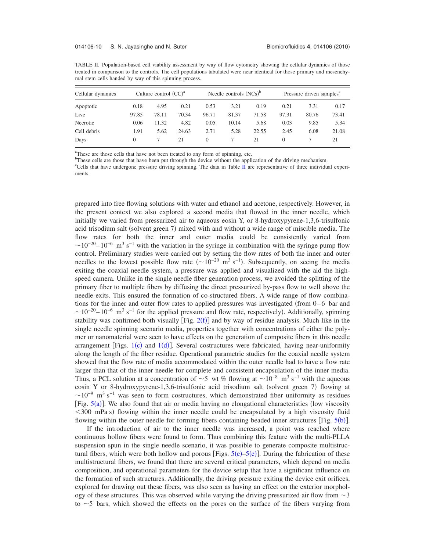<span id="page-9-0"></span>

| TABLE II. Population-based cell viability assessment by way of flow cytometry showing the cellular dynamics of those      |
|---------------------------------------------------------------------------------------------------------------------------|
| treated in comparison to the controls. The cell populations tabulated were near identical for those primary and mesenchy- |
| mal stem cells handed by way of this spinning process.                                                                    |

| Cellular dynamics<br>Apoptotic | Culture control $(CC)^a$ |       |       | Needle controls $(NCs)^{6}$ |       |       | Pressure driven samples <sup>c</sup> |       |       |
|--------------------------------|--------------------------|-------|-------|-----------------------------|-------|-------|--------------------------------------|-------|-------|
|                                | 0.18                     | 4.95  | 0.21  | 0.53                        | 3.21  | 0.19  | 0.21                                 | 3.31  | 0.17  |
| Live                           | 97.85                    | 78.11 | 70.34 | 96.71                       | 81.37 | 71.58 | 97.31                                | 80.76 | 73.41 |
| Necrotic                       | 0.06                     | 11.32 | 4.82  | 0.05                        | 10.14 | 5.68  | 0.03                                 | 9.85  | 5.34  |
| Cell debris                    | 1.91                     | 5.62  | 24.63 | 2.71                        | 5.28  | 22.55 | 2.45                                 | 6.08  | 21.08 |
| Days                           | $\theta$                 |       | 21    | 0                           |       | 21    | $\Omega$                             |       | 21    |

<sup>a</sup>These are those cells that have not been treated to any form of spinning, etc.

b These cells are those that have been put through the device without the application of the driving mechanism.

<sup>c</sup>Cells that have undergone pressure driving spinning. The data in Table [II](#page-9-0) are representative of three individual experiments.

prepared into free flowing solutions with water and ethanol and acetone, respectively. However, in the present context we also explored a second media that flowed in the inner needle, which initially we varied from pressurized air to aqueous eosin Y, or 8-hydroxypyrene-1,3,6-trisulfonic acid trisodium salt (solvent green 7) mixed with and without a wide range of miscible media. The flow rates for both the inner and outer media could be consistently varied from  $10^{-20} - 10^{-6}$  m<sup>3</sup> s<sup>-1</sup> with the variation in the syringe in combination with the syringe pump flow control. Preliminary studies were carried out by setting the flow rates of both the inner and outer needles to the lowest possible flow rate  $({\sim}10^{-20} \text{ m}^3 \text{ s}^{-1})$ . Subsequently, on seeing the media exiting the coaxial needle system, a pressure was applied and visualized with the aid the highspeed camera. Unlike in the single needle fiber generation process, we avoided the splitting of the primary fiber to multiple fibers by diffusing the direct pressurized by-pass flow to well above the needle exits. This ensured the formation of co-structured fibers. A wide range of flow combinations for the inner and outer flow rates to applied pressures was investigated (from  $0-6$  bar and  $\sim$ 10<sup>-20</sup> – 10<sup>-6</sup> m<sup>3</sup> s<sup>-1</sup> for the applied pressure and flow rate, respectively). Additionally, spinning stability was confirmed both visually [Fig.  $2(f)$  $2(f)$ ] and by way of residue analysis. Much like in the single needle spinning scenario media, properties together with concentrations of either the polymer or nanomaterial were seen to have effects on the generation of composite fibers in this needle arrangement [Figs.  $1(c)$  $1(c)$  and  $1(d)$ ]. Several costructures were fabricated, having near-uniformity along the length of the fiber residue. Operational parametric studies for the coaxial needle system showed that the flow rate of media accommodated within the outer needle had to have a flow rate larger than that of the inner needle for complete and consistent encapsulation of the inner media. Thus, a PCL solution at a concentration of  $\sim$  5 wt % flowing at  $\sim$  10<sup>-8</sup> m<sup>3</sup> s<sup>-1</sup> with the aqueous eosin Y or 8-hydroxypyrene-1,3,6-trisulfonic acid trisodium salt (solvent green 7) flowing at  $\sim 10^{-9}$  m<sup>3</sup> s<sup>-1</sup> was seen to form costructures, which demonstrated fiber uniformity as residues [Fig.  $5(a)$  $5(a)$ ]. We also found that air or media having no elongational characteristics (low viscosity <300 mPa s) flowing within the inner needle could be encapsulated by a high viscosity fluid flowing within the outer needle for forming fibers containing beaded inner structures [Fig. [5](#page-10-0)(b)].

If the introduction of air to the inner needle was increased, a point was reached where continuous hollow fibers were found to form. Thus combining this feature with the multi-PLLA suspension spun in the single needle scenario, it was possible to generate composite multistructural fibers, which were both hollow and porous [Figs.  $5(c)$  $5(c)$ – $5(e)$ ]. During the fabrication of these multistructural fibers, we found that there are several critical parameters, which depend on media composition, and operational parameters for the device setup that have a significant influence on the formation of such structures. Additionally, the driving pressure exiting the device exit orifices, explored for drawing out these fibers, was also seen as having an effect on the exterior morphology of these structures. This was observed while varying the driving pressurized air flow from  $\sim$  3 to  $\sim$  5 bars, which showed the effects on the pores on the surface of the fibers varying from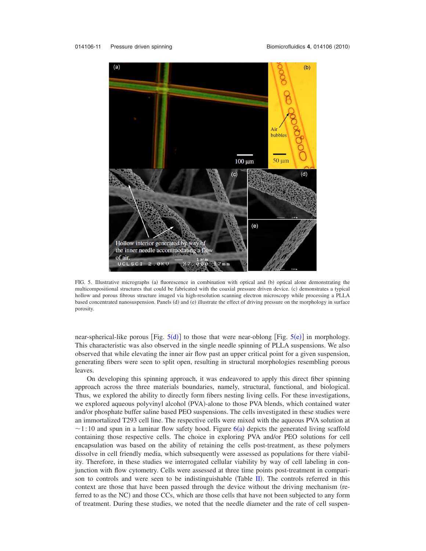<span id="page-10-0"></span>

FIG. 5. Illustrative micrographs (a) fluorescence in combination with optical and (b) optical alone demonstrating the multicompositional structures that could be fabricated with the coaxial pressure driven device. (c) demonstrates a typical hollow and porous fibrous structure imaged via high-resolution scanning electron microscopy while processing a PLLA based concentrated nanosuspension. Panels (d) and (e) illustrate the effect of driving pressure on the morphology in surface porosity.

near-spherical-like porous [Fig.  $5(d)$  $5(d)$ ] to those that were near-oblong [Fig.  $5(e)$ ] in morphology. This characteristic was also observed in the single needle spinning of PLLA suspensions. We also observed that while elevating the inner air flow past an upper critical point for a given suspension, generating fibers were seen to split open, resulting in structural morphologies resembling porous leaves.

On developing this spinning approach, it was endeavored to apply this direct fiber spinning approach across the three materials boundaries, namely, structural, functional, and biological. Thus, we explored the ability to directly form fibers nesting living cells. For these investigations, we explored aqueous polyvinyl alcohol (PVA)-alone to those PVA blends, which contained water and/or phosphate buffer saline based PEO suspensions. The cells investigated in these studies were an immortalized T293 cell line. The respective cells were mixed with the aqueous PVA solution at  $\sim$ 1:10 and spun in a laminar flow safety hood. Figure [6](#page-11-0)(a) depicts the generated living scaffold containing those respective cells. The choice in exploring PVA and/or PEO solutions for cell encapsulation was based on the ability of retaining the cells post-treatment, as these polymers dissolve in cell friendly media, which subsequently were assessed as populations for there viability. Therefore, in these studies we interrogated cellular viability by way of cell labeling in conjunction with flow cytometry. Cells were assessed at three time points post-treatment in compari-son to controls and were seen to be indistinguishable (Table [II](#page-9-0)). The controls referred in this context are those that have been passed through the device without the driving mechanism (referred to as the NC) and those CCs, which are those cells that have not been subjected to any form of treatment. During these studies, we noted that the needle diameter and the rate of cell suspen-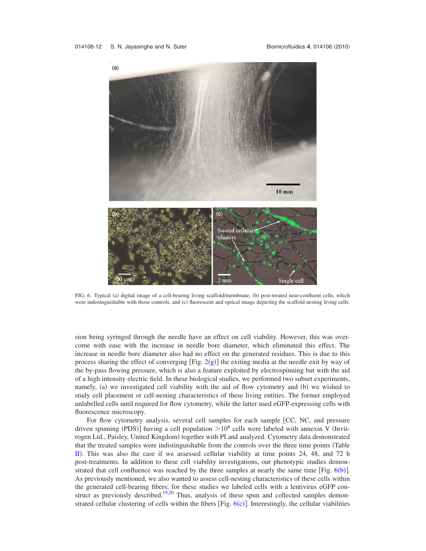<span id="page-11-0"></span>

FIG. 6. Typical (a) digital image of a cell-bearing living scaffold/membrane, (b) post-treated near-confluent cells, which were indistinguishable with those controls, and (c) fluorescent and optical image depicting the scaffold nesting living cells.

sion being syringed through the needle have an effect on cell viability. However, this was overcome with ease with the increase in needle bore diameter, which eliminated this effect. The increase in needle bore diameter also had no effect on the generated residues. This is due to this process sharing the effect of converging  $[Fig. 2(g)]$  $[Fig. 2(g)]$  $[Fig. 2(g)]$  the exiting media at the needle exit by way of the by-pass flowing pressure, which is also a feature exploited by electrospinning but with the aid of a high intensity electric field. In these biological studies, we performed two subset experiments, namely, (a) we investigated cell viability with the aid of flow cytometry and (b) we wished to study cell placement or cell-nesting characteristics of these living entities. The former employed unlabelled cells until required for flow cytometry, while the latter used eGFP-expressing cells with fluorescence microscopy.

For flow cytometry analysis, several cell samples for each sample [CC, NC, and pressure driven spinning (PDS)] having a cell population  $> 10^6$  cells were labeled with annexin V (Invitrogen Ltd., Paisley, United Kingdom) together with PI and analyzed. Cytometry data demonstrated that the treated samples were indistinguishable from the controls over the three time points Table  $\overline{II}$  $\overline{II}$  $\overline{II}$ ). This was also the case if we assessed cellular viability at time points 24, 48, and 72 h post-treatments. In addition to these cell viability investigations, our phenotypic studies demonstrated that cell confluence was reached by the three samples at nearly the same time  $[Fig. 6(b)].$  $[Fig. 6(b)].$  $[Fig. 6(b)].$ As previously mentioned, we also wanted to assess cell-nesting characteristics of these cells within the generated cell-bearing fibers; for these studies we labeled cells with a lentivirus eGFP con-struct as previously described.<sup>19,[20](#page-12-13)</sup> Thus, analysis of these spun and collected samples demonstrated cellular clustering of cells within the fibers [Fig.  $6(c)$  $6(c)$ ]. Interestingly, the cellular viabilities